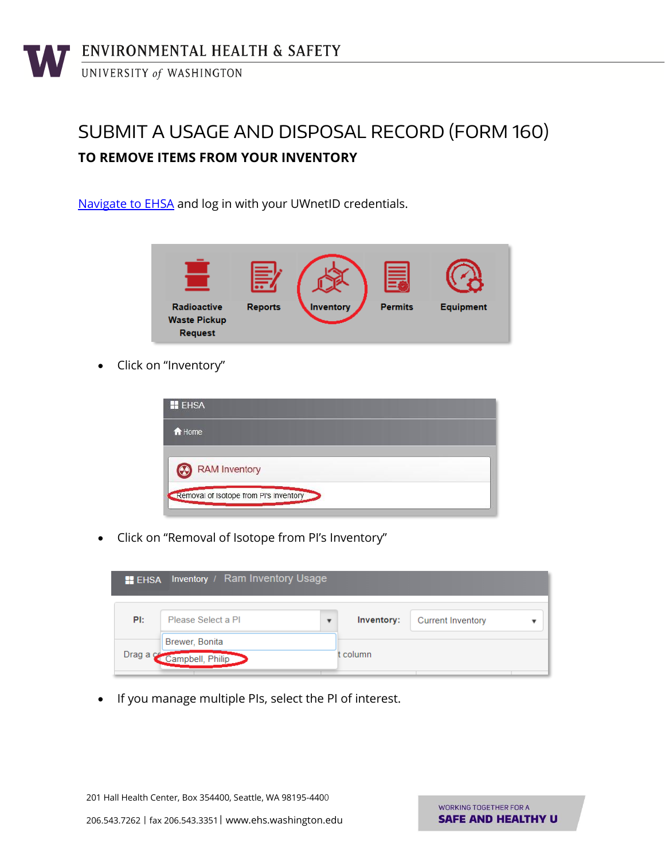## SUBMIT A USAGE AND DISPOSAL RECORD (FORM 160) **TO REMOVE ITEMS FROM YOUR INVENTORY**

[Navigate to EHSA](https://ehsa.ehs.washington.edu/ehsa/) and log in with your UWnetID credentials.



Click on "Inventory"

| <b>H</b> EHSA                          |  |  |
|----------------------------------------|--|--|
| A Home                                 |  |  |
| RAM Inventory                          |  |  |
| Removal of Isotope from PI's Inventory |  |  |

Click on "Removal of Isotope from PI's Inventory"



• If you manage multiple PIs, select the PI of interest.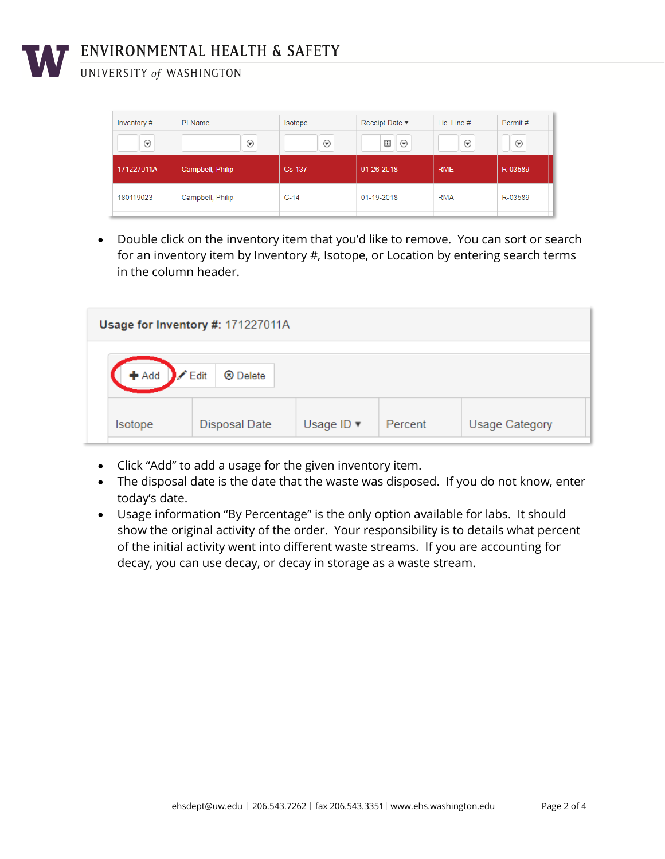

## ENVIRONMENTAL HEALTH & SAFETY

UNIVERSITY of WASHINGTON

| Inventory#      | PI Name          | <b>Isotope</b>  | Receipt Date $\blacktriangledown$ | Lic. Line # | Permit#              |
|-----------------|------------------|-----------------|-----------------------------------|-------------|----------------------|
| $^{\copyright}$ | $^{\copyright}$  | $^{\copyright}$ | 囲<br>$^{\copyright}$              | $\odot$     | $_{\textstyle\odot}$ |
| 171227011A      | Campbell, Philip | Cs-137          | 01-26-2018                        | <b>RME</b>  | R-03589              |
|                 |                  |                 |                                   |             |                      |

 Double click on the inventory item that you'd like to remove. You can sort or search for an inventory item by Inventory #, Isotope, or Location by entering search terms in the column header.

| Usage for Inventory #: 171227011A |                            |                               |         |                       |  |
|-----------------------------------|----------------------------|-------------------------------|---------|-----------------------|--|
| $+$ Add<br>$\angle$ Edit          | <b><sup>⊗</sup></b> Delete |                               |         |                       |  |
| Isotope                           | Disposal Date              | Usage ID $\blacktriangledown$ | Percent | <b>Usage Category</b> |  |

- Click "Add" to add a usage for the given inventory item.
- The disposal date is the date that the waste was disposed. If you do not know, enter today's date.
- Usage information "By Percentage" is the only option available for labs. It should show the original activity of the order. Your responsibility is to details what percent of the initial activity went into different waste streams. If you are accounting for decay, you can use decay, or decay in storage as a waste stream.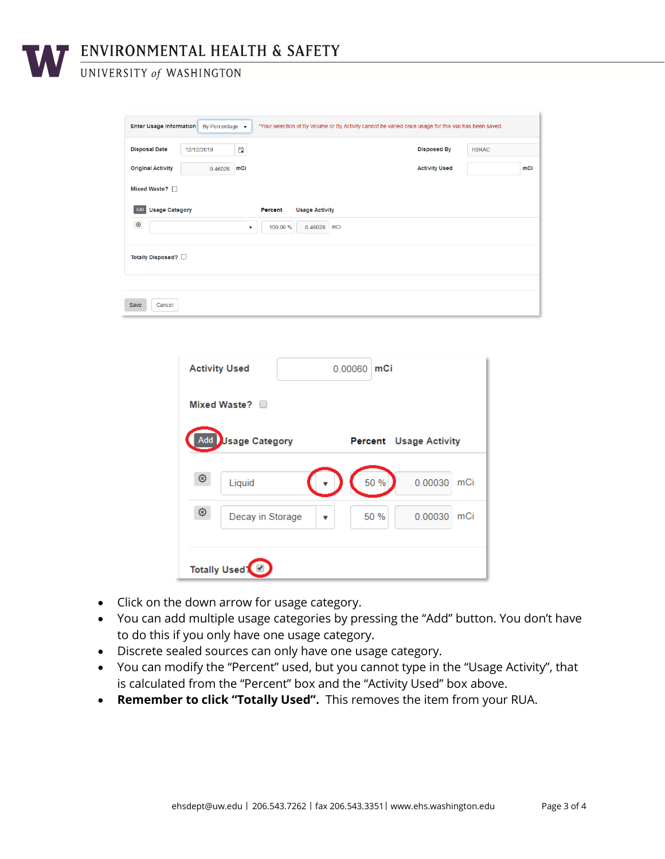ENVIRONMENTAL HEALTH & SAFETY

UNIVERSITY of WASHINGTON

| *Your selection of By Volume or By Activity cannot be varied once usage for this vial has been saved.<br><b>Enter Usage Information</b><br>By Percentage $\bullet$ |            |     |                                         |                      |              |
|--------------------------------------------------------------------------------------------------------------------------------------------------------------------|------------|-----|-----------------------------------------|----------------------|--------------|
| <b>Disposal Date</b>                                                                                                                                               | 12/12/2019 | 自   |                                         | <b>Disposed By</b>   | <b>HSRAC</b> |
| <b>Original Activity</b>                                                                                                                                           | 0.46028    | mCi |                                         | <b>Activity Used</b> | mCi          |
| Mixed Waste?                                                                                                                                                       |            |     |                                         |                      |              |
| <b>Usage Category</b><br>Add                                                                                                                                       |            |     | <b>Percent</b><br><b>Usage Activity</b> |                      |              |
| $^{\circ}$<br>mCi<br>100.00 %<br>0.46028<br>v                                                                                                                      |            |     |                                         |                      |              |
| Totally Disposed? O                                                                                                                                                |            |     |                                         |                      |              |
|                                                                                                                                                                    |            |     |                                         |                      |              |
| Cancel<br>Save                                                                                                                                                     |            |     |                                         |                      |              |

|                           | <b>Activity Used</b><br>mCi<br>0.00060 |                               |  |  |  |
|---------------------------|----------------------------------------|-------------------------------|--|--|--|
| Mixed Waste?              |                                        |                               |  |  |  |
| Add                       | <b>Usage Category</b>                  | <b>Percent</b> Usage Activity |  |  |  |
| $\circledcirc$            | Liquid                                 | 50 %<br>0.00030<br>mCi        |  |  |  |
| $^{\circ}$                | Decay in Storage                       | 50 %<br>0.00030<br>mCi        |  |  |  |
| Totally Used <sup>1</sup> |                                        |                               |  |  |  |

- Click on the down arrow for usage category.
- You can add multiple usage categories by pressing the "Add" button. You don't have to do this if you only have one usage category.
- Discrete sealed sources can only have one usage category.
- You can modify the "Percent" used, but you cannot type in the "Usage Activity", that is calculated from the "Percent" box and the "Activity Used" box above.
- **Remember to click "Totally Used".** This removes the item from your RUA.